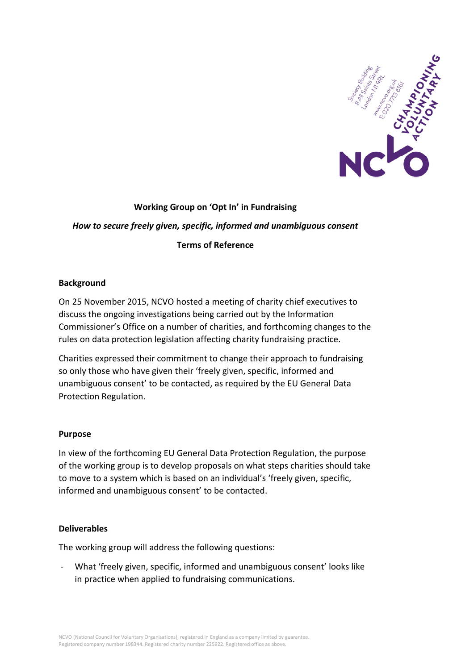

## **Working Group on 'Opt In' in Fundraising**

# *How to secure freely given, specific, informed and unambiguous consent*

### **Terms of Reference**

#### **Background**

On 25 November 2015, NCVO hosted a meeting of charity chief executives to discuss the ongoing investigations being carried out by the Information Commissioner's Office on a number of charities, and forthcoming changes to the rules on data protection legislation affecting charity fundraising practice.

Charities expressed their commitment to change their approach to fundraising so only those who have given their 'freely given, specific, informed and unambiguous consent' to be contacted, as required by the EU General Data Protection Regulation.

#### **Purpose**

In view of the forthcoming EU General Data Protection Regulation, the purpose of the working group is to develop proposals on what steps charities should take to move to a system which is based on an individual's 'freely given, specific, informed and unambiguous consent' to be contacted.

#### **Deliverables**

The working group will address the following questions:

- What 'freely given, specific, informed and unambiguous consent' looks like in practice when applied to fundraising communications.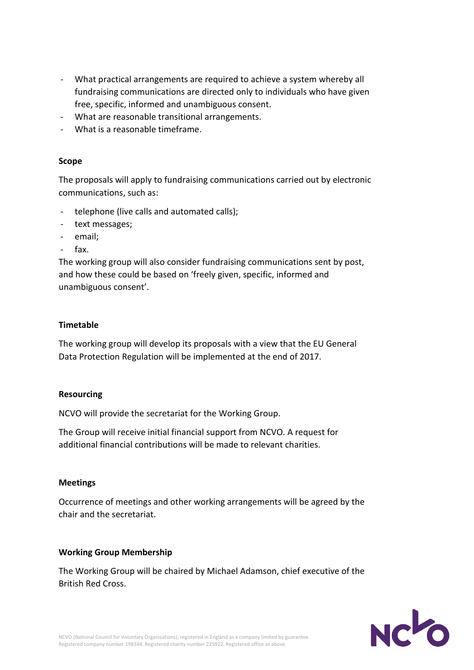- What practical arrangements are required to achieve a system whereby all fundraising communications are directed only to individuals who have given free, specific, informed and unambiguous consent.
- What are reasonable transitional arrangements.
- What is a reasonable timeframe.

#### **Scope**

The proposals will apply to fundraising communications carried out by electronic communications, such as:

- telephone (live calls and automated calls);
- text messages;
- email;
- fax.

The working group will also consider fundraising communications sent by post, and how these could be based on 'freely given, specific, informed and unambiguous consent'.

#### **Timetable**

The working group will develop its proposals with a view that the EU General Data Protection Regulation will be implemented at the end of 2017.

#### **Resourcing**

NCVO will provide the secretariat for the Working Group.

The Group will receive initial financial support from NCVO. A request for additional financial contributions will be made to relevant charities.

#### **Meetings**

Occurrence of meetings and other working arrangements will be agreed by the chair and the secretariat.

#### **Working Group Membership**

The Working Group will be chaired by Michael Adamson, chief executive of the British Red Cross.